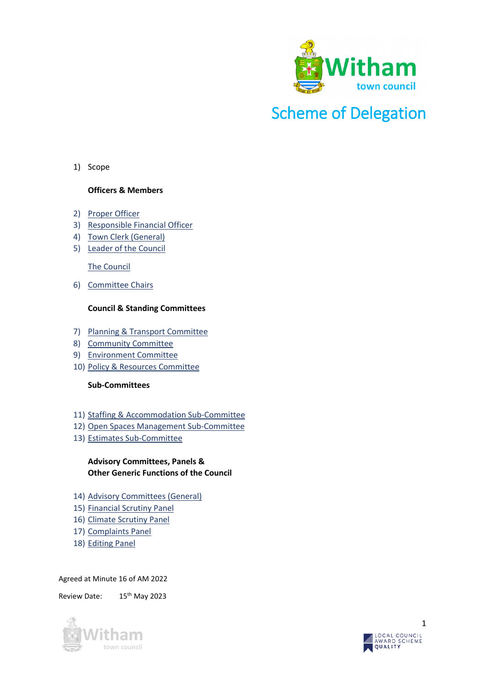

# Scheme of Delegation

1) Scope

#### **Officers & Members**

- 2) [Proper Officer](#page-1-0)
- 3) [Responsible Financial Officer](#page-1-1)
- 4) [Town Clerk \(General\)](#page-2-0)
- 5) [Leader of the Council](#page-3-0)

[The Council](#page-3-1)

6) [Committee Chairs](#page-4-0)

#### **Council & Standing Committees**

- 7) [Planning & Transport Committee](#page-4-1)
- 8) [Community Committee](#page-5-0)
- 9) [Environment Committee](#page-6-0)
- 10) [Policy & Resources Committee](#page-7-0)

#### **Sub-Committees**

- 11) [Staffing & Accommodation Sub-Committee](#page-8-0)
- 12) [Open Spaces Management Sub-Committee](#page-8-1)
- 13) [Estimates Sub-Committee](#page-9-0)

#### **Advisory Committees, Panels & Other Generic Functions of the Council**

- 14) [Advisory Committees \(General\)](#page-10-0)
- 15) [Financial Scrutiny Panel](#page-10-1)
- 16) Climate Scrutiny Panel
- 17) [Complaints Panel](#page-10-2)
- 18) [Editing Panel](#page-10-3)

#### Agreed at Minute 16 of AM 2022

Review Date: 15<sup>th</sup> May 2023



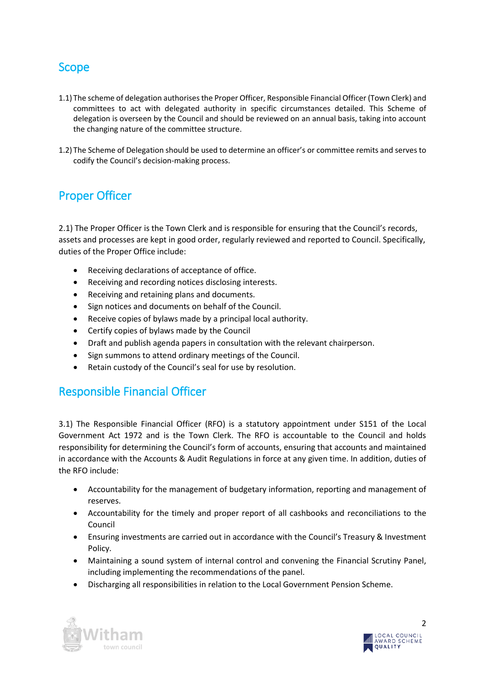#### Scope

- 1.1) The scheme of delegation authorises the Proper Officer, Responsible Financial Officer (Town Clerk) and committees to act with delegated authority in specific circumstances detailed. This Scheme of delegation is overseen by the Council and should be reviewed on an annual basis, taking into account the changing nature of the committee structure.
- 1.2) The Scheme of Delegation should be used to determine an officer's or committee remits and serves to codify the Council's decision-making process.

#### <span id="page-1-0"></span>Proper Officer

2.1) The Proper Officer is the Town Clerk and is responsible for ensuring that the Council's records, assets and processes are kept in good order, regularly reviewed and reported to Council. Specifically, duties of the Proper Office include:

- Receiving declarations of acceptance of office.
- Receiving and recording notices disclosing interests.
- Receiving and retaining plans and documents.
- Sign notices and documents on behalf of the Council.
- Receive copies of bylaws made by a principal local authority.
- Certify copies of bylaws made by the Council
- Draft and publish agenda papers in consultation with the relevant chairperson.
- Sign summons to attend ordinary meetings of the Council.
- Retain custody of the Council's seal for use by resolution.

#### <span id="page-1-1"></span>Responsible Financial Officer

3.1) The Responsible Financial Officer (RFO) is a statutory appointment under S151 of the Local Government Act 1972 and is the Town Clerk. The RFO is accountable to the Council and holds responsibility for determining the Council's form of accounts, ensuring that accounts and maintained in accordance with the Accounts & Audit Regulations in force at any given time. In addition, duties of the RFO include:

- Accountability for the management of budgetary information, reporting and management of reserves.
- Accountability for the timely and proper report of all cashbooks and reconciliations to the Council
- Ensuring investments are carried out in accordance with the Council's Treasury & Investment Policy.
- Maintaining a sound system of internal control and convening the Financial Scrutiny Panel, including implementing the recommendations of the panel.
- Discharging all responsibilities in relation to the Local Government Pension Scheme.



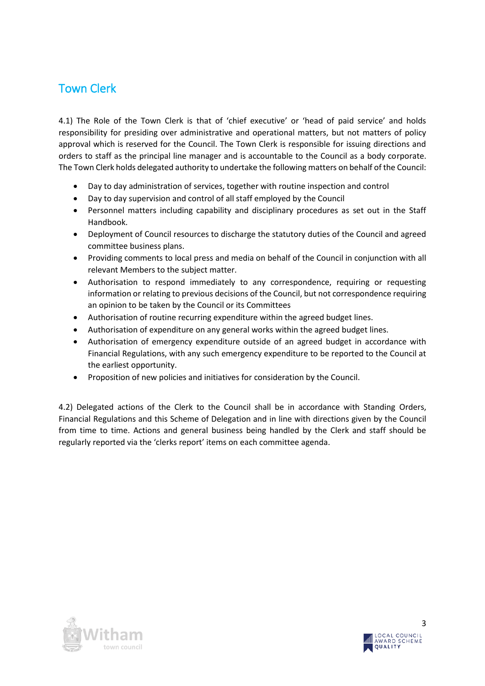# <span id="page-2-0"></span>Town Clerk

4.1) The Role of the Town Clerk is that of 'chief executive' or 'head of paid service' and holds responsibility for presiding over administrative and operational matters, but not matters of policy approval which is reserved for the Council. The Town Clerk is responsible for issuing directions and orders to staff as the principal line manager and is accountable to the Council as a body corporate. The Town Clerk holds delegated authority to undertake the following matters on behalf of the Council:

- Day to day administration of services, together with routine inspection and control
- Day to day supervision and control of all staff employed by the Council
- Personnel matters including capability and disciplinary procedures as set out in the Staff Handbook.
- Deployment of Council resources to discharge the statutory duties of the Council and agreed committee business plans.
- Providing comments to local press and media on behalf of the Council in conjunction with all relevant Members to the subject matter.
- Authorisation to respond immediately to any correspondence, requiring or requesting information or relating to previous decisions of the Council, but not correspondence requiring an opinion to be taken by the Council or its Committees
- Authorisation of routine recurring expenditure within the agreed budget lines.
- Authorisation of expenditure on any general works within the agreed budget lines.
- Authorisation of emergency expenditure outside of an agreed budget in accordance with Financial Regulations, with any such emergency expenditure to be reported to the Council at the earliest opportunity.
- Proposition of new policies and initiatives for consideration by the Council.

4.2) Delegated actions of the Clerk to the Council shall be in accordance with Standing Orders, Financial Regulations and this Scheme of Delegation and in line with directions given by the Council from time to time. Actions and general business being handled by the Clerk and staff should be regularly reported via the 'clerks report' items on each committee agenda.



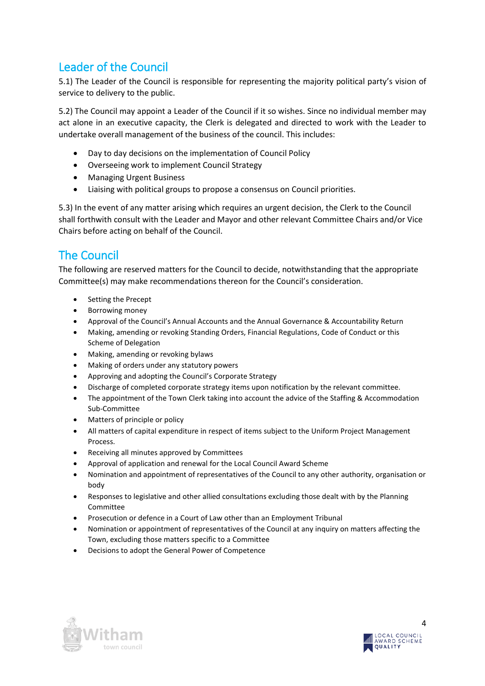# <span id="page-3-0"></span>Leader of the Council

5.1) The Leader of the Council is responsible for representing the majority political party's vision of service to delivery to the public.

5.2) The Council may appoint a Leader of the Council if it so wishes. Since no individual member may act alone in an executive capacity, the Clerk is delegated and directed to work with the Leader to undertake overall management of the business of the council. This includes:

- Day to day decisions on the implementation of Council Policy
- Overseeing work to implement Council Strategy
- Managing Urgent Business
- Liaising with political groups to propose a consensus on Council priorities.

5.3) In the event of any matter arising which requires an urgent decision, the Clerk to the Council shall forthwith consult with the Leader and Mayor and other relevant Committee Chairs and/or Vice Chairs before acting on behalf of the Council.

#### <span id="page-3-1"></span>The Council

The following are reserved matters for the Council to decide, notwithstanding that the appropriate Committee(s) may make recommendations thereon for the Council's consideration.

- Setting the Precept
- **•** Borrowing money
- Approval of the Council's Annual Accounts and the Annual Governance & Accountability Return
- Making, amending or revoking Standing Orders, Financial Regulations, Code of Conduct or this Scheme of Delegation
- Making, amending or revoking bylaws
- Making of orders under any statutory powers
- Approving and adopting the Council's Corporate Strategy
- Discharge of completed corporate strategy items upon notification by the relevant committee.
- The appointment of the Town Clerk taking into account the advice of the Staffing & Accommodation Sub-Committee
- Matters of principle or policy
- All matters of capital expenditure in respect of items subject to the Uniform Project Management Process.
- Receiving all minutes approved by Committees
- Approval of application and renewal for the Local Council Award Scheme
- Nomination and appointment of representatives of the Council to any other authority, organisation or body
- Responses to legislative and other allied consultations excluding those dealt with by the Planning Committee
- Prosecution or defence in a Court of Law other than an Employment Tribunal
- Nomination or appointment of representatives of the Council at any inquiry on matters affecting the Town, excluding those matters specific to a Committee
- Decisions to adopt the General Power of Competence



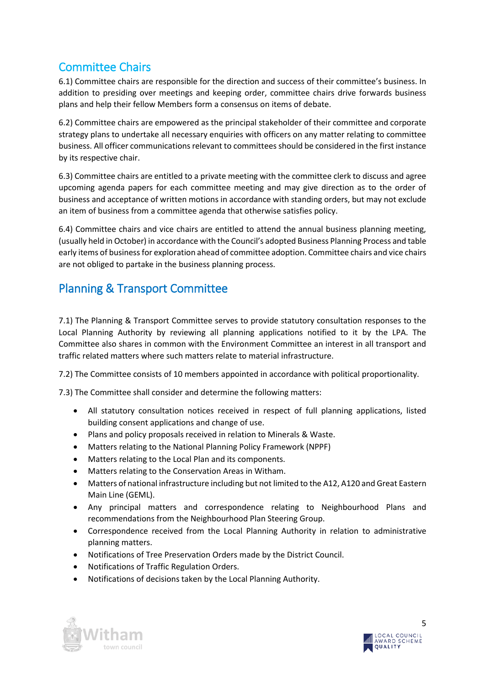# <span id="page-4-0"></span>Committee Chairs

6.1) Committee chairs are responsible for the direction and success of their committee's business. In addition to presiding over meetings and keeping order, committee chairs drive forwards business plans and help their fellow Members form a consensus on items of debate.

6.2) Committee chairs are empowered as the principal stakeholder of their committee and corporate strategy plans to undertake all necessary enquiries with officers on any matter relating to committee business. All officer communications relevant to committees should be considered in the first instance by its respective chair.

6.3) Committee chairs are entitled to a private meeting with the committee clerk to discuss and agree upcoming agenda papers for each committee meeting and may give direction as to the order of business and acceptance of written motions in accordance with standing orders, but may not exclude an item of business from a committee agenda that otherwise satisfies policy.

6.4) Committee chairs and vice chairs are entitled to attend the annual business planning meeting, (usually held in October) in accordance with the Council's adopted Business Planning Process and table early items of business for exploration ahead of committee adoption. Committee chairs and vice chairs are not obliged to partake in the business planning process.

#### <span id="page-4-1"></span>Planning & Transport Committee

7.1) The Planning & Transport Committee serves to provide statutory consultation responses to the Local Planning Authority by reviewing all planning applications notified to it by the LPA. The Committee also shares in common with the Environment Committee an interest in all transport and traffic related matters where such matters relate to material infrastructure.

7.2) The Committee consists of 10 members appointed in accordance with political proportionality.

- All statutory consultation notices received in respect of full planning applications, listed building consent applications and change of use.
- Plans and policy proposals received in relation to Minerals & Waste.
- Matters relating to the National Planning Policy Framework (NPPF)
- Matters relating to the Local Plan and its components.
- Matters relating to the Conservation Areas in Witham.
- Matters of national infrastructure including but not limited to the A12, A120 and Great Eastern Main Line (GEML).
- Any principal matters and correspondence relating to Neighbourhood Plans and recommendations from the Neighbourhood Plan Steering Group.
- Correspondence received from the Local Planning Authority in relation to administrative planning matters.
- Notifications of Tree Preservation Orders made by the District Council.
- Notifications of Traffic Regulation Orders.
- Notifications of decisions taken by the Local Planning Authority.



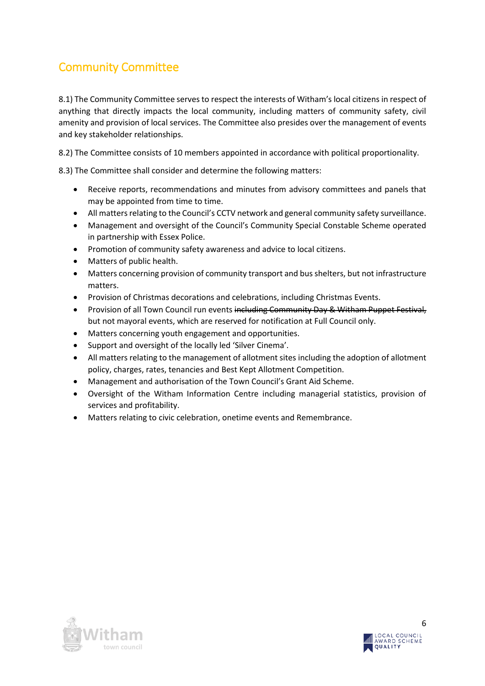# <span id="page-5-0"></span>Community Committee

8.1) The Community Committee serves to respect the interests of Witham's local citizens in respect of anything that directly impacts the local community, including matters of community safety, civil amenity and provision of local services. The Committee also presides over the management of events and key stakeholder relationships.

8.2) The Committee consists of 10 members appointed in accordance with political proportionality.

- Receive reports, recommendations and minutes from advisory committees and panels that may be appointed from time to time.
- All matters relating to the Council's CCTV network and general community safety surveillance.
- Management and oversight of the Council's Community Special Constable Scheme operated in partnership with Essex Police.
- Promotion of community safety awareness and advice to local citizens.
- Matters of public health.
- Matters concerning provision of community transport and bus shelters, but not infrastructure matters.
- Provision of Christmas decorations and celebrations, including Christmas Events.
- **•** Provision of all Town Council run events including Community Day & Witham Puppet Festival, but not mayoral events, which are reserved for notification at Full Council only.
- Matters concerning youth engagement and opportunities.
- Support and oversight of the locally led 'Silver Cinema'.
- All matters relating to the management of allotment sites including the adoption of allotment policy, charges, rates, tenancies and Best Kept Allotment Competition.
- Management and authorisation of the Town Council's Grant Aid Scheme.
- Oversight of the Witham Information Centre including managerial statistics, provision of services and profitability.
- Matters relating to civic celebration, onetime events and Remembrance.



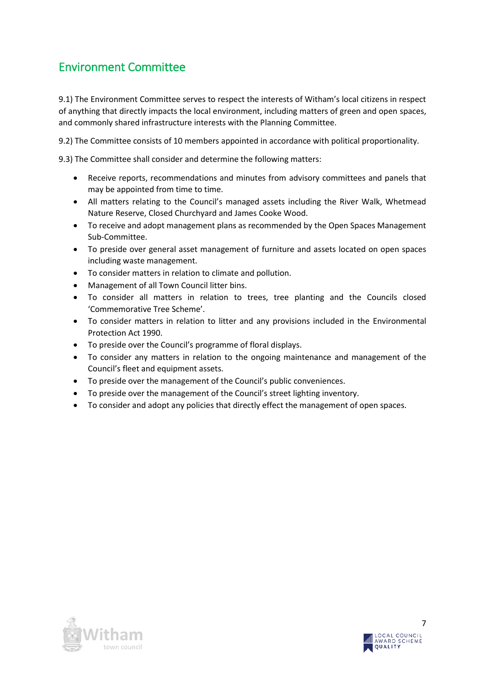### <span id="page-6-0"></span>Environment Committee

9.1) The Environment Committee serves to respect the interests of Witham's local citizens in respect of anything that directly impacts the local environment, including matters of green and open spaces, and commonly shared infrastructure interests with the Planning Committee.

9.2) The Committee consists of 10 members appointed in accordance with political proportionality.

- Receive reports, recommendations and minutes from advisory committees and panels that may be appointed from time to time.
- All matters relating to the Council's managed assets including the River Walk, Whetmead Nature Reserve, Closed Churchyard and James Cooke Wood.
- To receive and adopt management plans as recommended by the Open Spaces Management Sub-Committee.
- To preside over general asset management of furniture and assets located on open spaces including waste management.
- To consider matters in relation to climate and pollution.
- Management of all Town Council litter bins.
- To consider all matters in relation to trees, tree planting and the Councils closed 'Commemorative Tree Scheme'.
- To consider matters in relation to litter and any provisions included in the Environmental Protection Act 1990.
- To preside over the Council's programme of floral displays.
- To consider any matters in relation to the ongoing maintenance and management of the Council's fleet and equipment assets.
- To preside over the management of the Council's public conveniences.
- To preside over the management of the Council's street lighting inventory.
- To consider and adopt any policies that directly effect the management of open spaces.



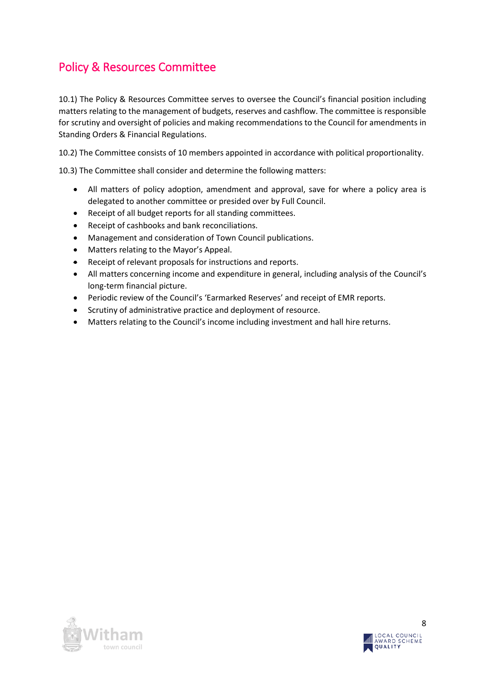# <span id="page-7-0"></span>Policy & Resources Committee

10.1) The Policy & Resources Committee serves to oversee the Council's financial position including matters relating to the management of budgets, reserves and cashflow. The committee is responsible for scrutiny and oversight of policies and making recommendations to the Council for amendments in Standing Orders & Financial Regulations.

10.2) The Committee consists of 10 members appointed in accordance with political proportionality.

- All matters of policy adoption, amendment and approval, save for where a policy area is delegated to another committee or presided over by Full Council.
- Receipt of all budget reports for all standing committees.
- Receipt of cashbooks and bank reconciliations.
- Management and consideration of Town Council publications.
- Matters relating to the Mayor's Appeal.
- Receipt of relevant proposals for instructions and reports.
- All matters concerning income and expenditure in general, including analysis of the Council's long-term financial picture.
- Periodic review of the Council's 'Earmarked Reserves' and receipt of EMR reports.
- Scrutiny of administrative practice and deployment of resource.
- Matters relating to the Council's income including investment and hall hire returns.



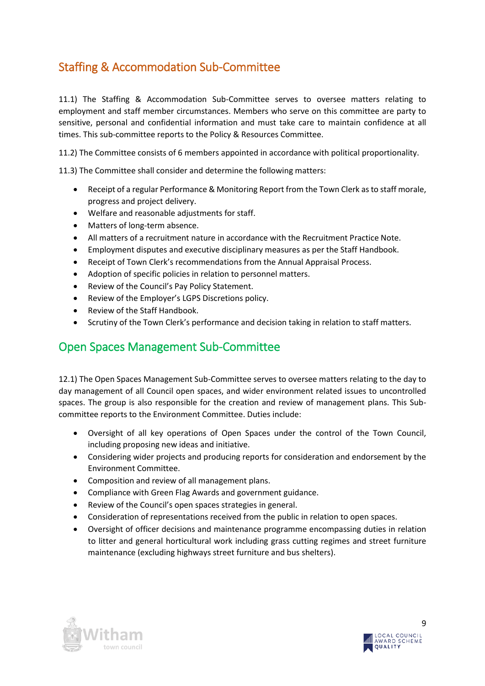# <span id="page-8-0"></span>Staffing & Accommodation Sub-Committee

11.1) The Staffing & Accommodation Sub-Committee serves to oversee matters relating to employment and staff member circumstances. Members who serve on this committee are party to sensitive, personal and confidential information and must take care to maintain confidence at all times. This sub-committee reports to the Policy & Resources Committee.

11.2) The Committee consists of 6 members appointed in accordance with political proportionality.

11.3) The Committee shall consider and determine the following matters:

- Receipt of a regular Performance & Monitoring Report from the Town Clerk as to staff morale, progress and project delivery.
- Welfare and reasonable adjustments for staff.
- Matters of long-term absence.
- All matters of a recruitment nature in accordance with the Recruitment Practice Note.
- Employment disputes and executive disciplinary measures as per the Staff Handbook.
- Receipt of Town Clerk's recommendations from the Annual Appraisal Process.
- Adoption of specific policies in relation to personnel matters.
- Review of the Council's Pay Policy Statement.
- Review of the Employer's LGPS Discretions policy.
- Review of the Staff Handbook.
- Scrutiny of the Town Clerk's performance and decision taking in relation to staff matters.

#### <span id="page-8-1"></span>Open Spaces Management Sub-Committee

12.1) The Open Spaces Management Sub-Committee serves to oversee matters relating to the day to day management of all Council open spaces, and wider environment related issues to uncontrolled spaces. The group is also responsible for the creation and review of management plans. This Subcommittee reports to the Environment Committee. Duties include:

- Oversight of all key operations of Open Spaces under the control of the Town Council, including proposing new ideas and initiative.
- Considering wider projects and producing reports for consideration and endorsement by the Environment Committee.
- Composition and review of all management plans.
- Compliance with Green Flag Awards and government guidance.
- Review of the Council's open spaces strategies in general.
- Consideration of representations received from the public in relation to open spaces.
- Oversight of officer decisions and maintenance programme encompassing duties in relation to litter and general horticultural work including grass cutting regimes and street furniture maintenance (excluding highways street furniture and bus shelters).



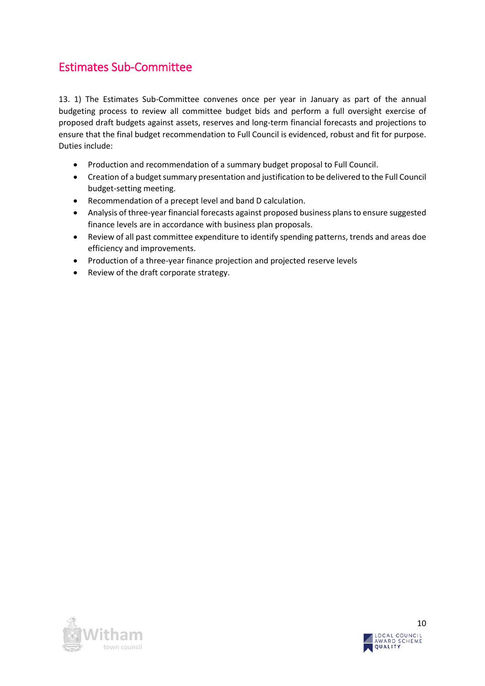# <span id="page-9-0"></span>Estimates Sub-Committee

13. 1) The Estimates Sub-Committee convenes once per year in January as part of the annual budgeting process to review all committee budget bids and perform a full oversight exercise of proposed draft budgets against assets, reserves and long-term financial forecasts and projections to ensure that the final budget recommendation to Full Council is evidenced, robust and fit for purpose. Duties include:

- Production and recommendation of a summary budget proposal to Full Council.
- Creation of a budget summary presentation and justification to be delivered to the Full Council budget-setting meeting.
- Recommendation of a precept level and band D calculation.
- Analysis of three-year financial forecasts against proposed business plans to ensure suggested finance levels are in accordance with business plan proposals.
- Review of all past committee expenditure to identify spending patterns, trends and areas doe efficiency and improvements.
- Production of a three-year finance projection and projected reserve levels
- Review of the draft corporate strategy.